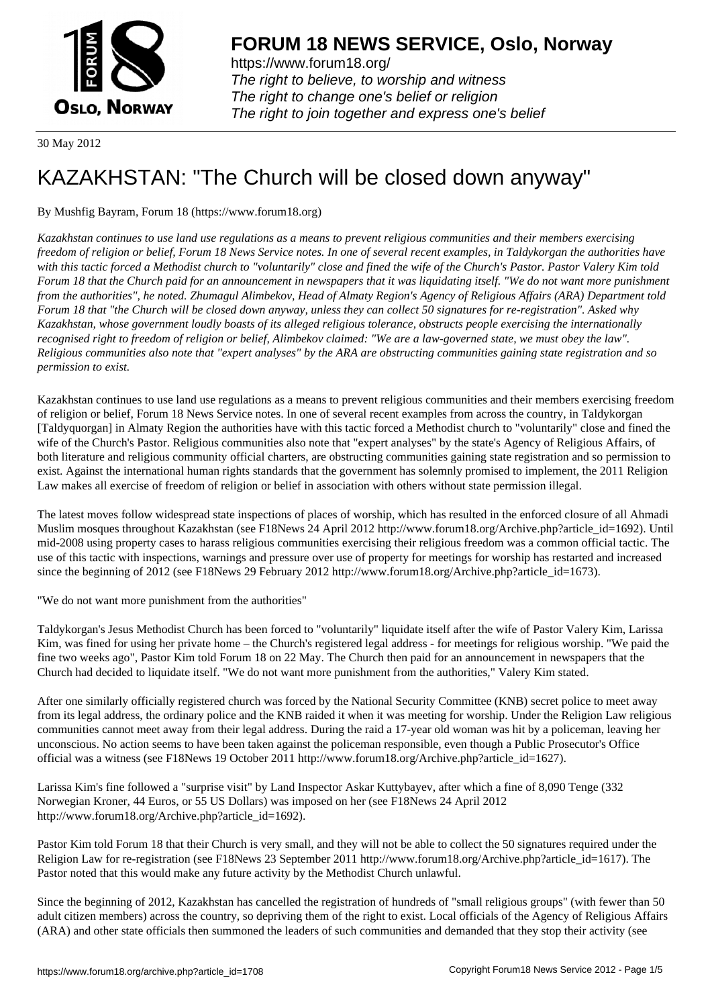

https://www.forum18.org/ The right to believe, to worship and witness The right to change one's belief or religion [The right to join together a](https://www.forum18.org/)nd express one's belief

30 May 2012

# [KAZAKHSTAN:](https://www.forum18.org) "The Church will be closed down anyway"

## By Mushfig Bayram, Forum 18 (https://www.forum18.org)

*Kazakhstan continues to use land use regulations as a means to prevent religious communities and their members exercising freedom of religion or belief, Forum 18 News Service notes. In one of several recent examples, in Taldykorgan the authorities have with this tactic forced a Methodist church to "voluntarily" close and fined the wife of the Church's Pastor. Pastor Valery Kim told Forum 18 that the Church paid for an announcement in newspapers that it was liquidating itself. "We do not want more punishment from the authorities", he noted. Zhumagul Alimbekov, Head of Almaty Region's Agency of Religious Affairs (ARA) Department told Forum 18 that "the Church will be closed down anyway, unless they can collect 50 signatures for re-registration". Asked why Kazakhstan, whose government loudly boasts of its alleged religious tolerance, obstructs people exercising the internationally recognised right to freedom of religion or belief, Alimbekov claimed: "We are a law-governed state, we must obey the law". Religious communities also note that "expert analyses" by the ARA are obstructing communities gaining state registration and so permission to exist.*

Kazakhstan continues to use land use regulations as a means to prevent religious communities and their members exercising freedom of religion or belief, Forum 18 News Service notes. In one of several recent examples from across the country, in Taldykorgan [Taldyquorgan] in Almaty Region the authorities have with this tactic forced a Methodist church to "voluntarily" close and fined the wife of the Church's Pastor. Religious communities also note that "expert analyses" by the state's Agency of Religious Affairs, of both literature and religious community official charters, are obstructing communities gaining state registration and so permission to exist. Against the international human rights standards that the government has solemnly promised to implement, the 2011 Religion Law makes all exercise of freedom of religion or belief in association with others without state permission illegal.

The latest moves follow widespread state inspections of places of worship, which has resulted in the enforced closure of all Ahmadi Muslim mosques throughout Kazakhstan (see F18News 24 April 2012 http://www.forum18.org/Archive.php?article\_id=1692). Until mid-2008 using property cases to harass religious communities exercising their religious freedom was a common official tactic. The use of this tactic with inspections, warnings and pressure over use of property for meetings for worship has restarted and increased since the beginning of 2012 (see F18News 29 February 2012 http://www.forum18.org/Archive.php?article\_id=1673).

"We do not want more punishment from the authorities"

Taldykorgan's Jesus Methodist Church has been forced to "voluntarily" liquidate itself after the wife of Pastor Valery Kim, Larissa Kim, was fined for using her private home – the Church's registered legal address - for meetings for religious worship. "We paid the fine two weeks ago", Pastor Kim told Forum 18 on 22 May. The Church then paid for an announcement in newspapers that the Church had decided to liquidate itself. "We do not want more punishment from the authorities," Valery Kim stated.

After one similarly officially registered church was forced by the National Security Committee (KNB) secret police to meet away from its legal address, the ordinary police and the KNB raided it when it was meeting for worship. Under the Religion Law religious communities cannot meet away from their legal address. During the raid a 17-year old woman was hit by a policeman, leaving her unconscious. No action seems to have been taken against the policeman responsible, even though a Public Prosecutor's Office official was a witness (see F18News 19 October 2011 http://www.forum18.org/Archive.php?article\_id=1627).

Larissa Kim's fine followed a "surprise visit" by Land Inspector Askar Kuttybayev, after which a fine of 8,090 Tenge (332 Norwegian Kroner, 44 Euros, or 55 US Dollars) was imposed on her (see F18News 24 April 2012 http://www.forum18.org/Archive.php?article\_id=1692).

Pastor Kim told Forum 18 that their Church is very small, and they will not be able to collect the 50 signatures required under the Religion Law for re-registration (see F18News 23 September 2011 http://www.forum18.org/Archive.php?article\_id=1617). The Pastor noted that this would make any future activity by the Methodist Church unlawful.

Since the beginning of 2012, Kazakhstan has cancelled the registration of hundreds of "small religious groups" (with fewer than 50 adult citizen members) across the country, so depriving them of the right to exist. Local officials of the Agency of Religious Affairs (ARA) and other state officials then summoned the leaders of such communities and demanded that they stop their activity (see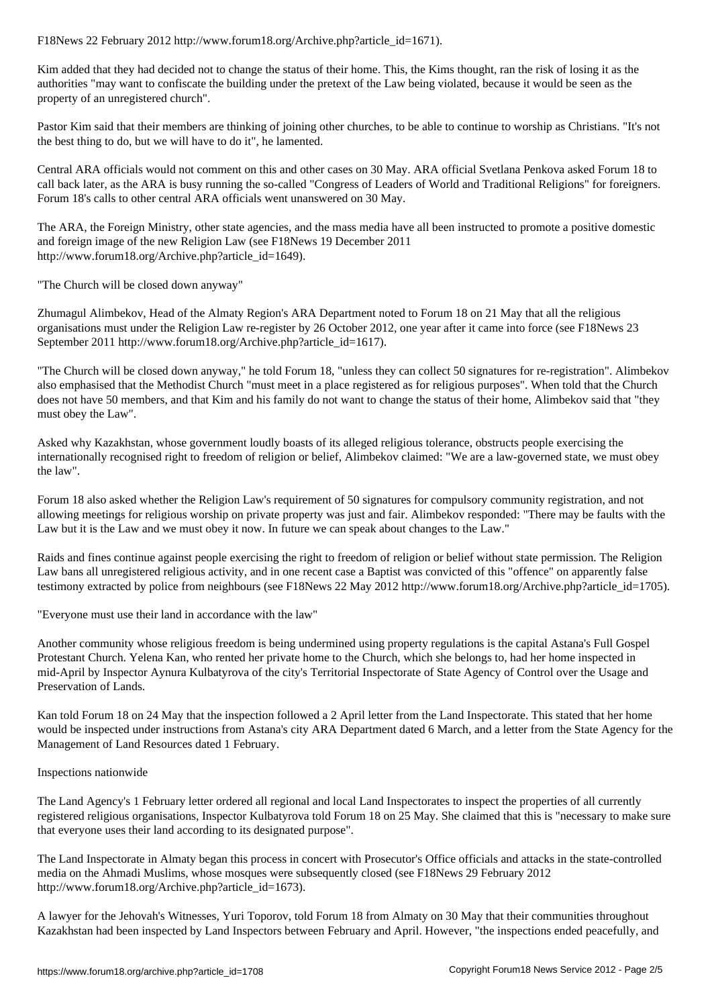Kim added that they had decided not to change the status of their home. This, the Kims thought, ran the risk of losing it as the authorities "may want to confiscate the building under the pretext of the Law being violated, because it would be seen as the property of an unregistered church".

Pastor Kim said that their members are thinking of joining other churches, to be able to continue to worship as Christians. "It's not the best thing to do, but we will have to do it", he lamented.

Central ARA officials would not comment on this and other cases on 30 May. ARA official Svetlana Penkova asked Forum 18 to call back later, as the ARA is busy running the so-called "Congress of Leaders of World and Traditional Religions" for foreigners. Forum 18's calls to other central ARA officials went unanswered on 30 May.

The ARA, the Foreign Ministry, other state agencies, and the mass media have all been instructed to promote a positive domestic and foreign image of the new Religion Law (see F18News 19 December 2011 http://www.forum18.org/Archive.php?article\_id=1649).

"The Church will be closed down anyway"

Zhumagul Alimbekov, Head of the Almaty Region's ARA Department noted to Forum 18 on 21 May that all the religious organisations must under the Religion Law re-register by 26 October 2012, one year after it came into force (see F18News 23 September 2011 http://www.forum18.org/Archive.php?article\_id=1617).

"The Church will be closed down anyway," he told Forum 18, "unless they can collect 50 signatures for re-registration". Alimbekov also emphasised that the Methodist Church "must meet in a place registered as for religious purposes". When told that the Church does not have 50 members, and that Kim and his family do not want to change the status of their home, Alimbekov said that "they must obey the Law".

Asked why Kazakhstan, whose government loudly boasts of its alleged religious tolerance, obstructs people exercising the internationally recognised right to freedom of religion or belief, Alimbekov claimed: "We are a law-governed state, we must obey the law".

Forum 18 also asked whether the Religion Law's requirement of 50 signatures for compulsory community registration, and not allowing meetings for religious worship on private property was just and fair. Alimbekov responded: "There may be faults with the Law but it is the Law and we must obey it now. In future we can speak about changes to the Law."

Raids and fines continue against people exercising the right to freedom of religion or belief without state permission. The Religion Law bans all unregistered religious activity, and in one recent case a Baptist was convicted of this "offence" on apparently false testimony extracted by police from neighbours (see F18News 22 May 2012 http://www.forum18.org/Archive.php?article\_id=1705).

"Everyone must use their land in accordance with the law"

Another community whose religious freedom is being undermined using property regulations is the capital Astana's Full Gospel Protestant Church. Yelena Kan, who rented her private home to the Church, which she belongs to, had her home inspected in mid-April by Inspector Aynura Kulbatyrova of the city's Territorial Inspectorate of State Agency of Control over the Usage and Preservation of Lands.

Kan told Forum 18 on 24 May that the inspection followed a 2 April letter from the Land Inspectorate. This stated that her home would be inspected under instructions from Astana's city ARA Department dated 6 March, and a letter from the State Agency for the Management of Land Resources dated 1 February.

#### Inspections nationwide

The Land Agency's 1 February letter ordered all regional and local Land Inspectorates to inspect the properties of all currently registered religious organisations, Inspector Kulbatyrova told Forum 18 on 25 May. She claimed that this is "necessary to make sure that everyone uses their land according to its designated purpose".

The Land Inspectorate in Almaty began this process in concert with Prosecutor's Office officials and attacks in the state-controlled media on the Ahmadi Muslims, whose mosques were subsequently closed (see F18News 29 February 2012 http://www.forum18.org/Archive.php?article\_id=1673).

A lawyer for the Jehovah's Witnesses, Yuri Toporov, told Forum 18 from Almaty on 30 May that their communities throughout Kazakhstan had been inspected by Land Inspectors between February and April. However, "the inspections ended peacefully, and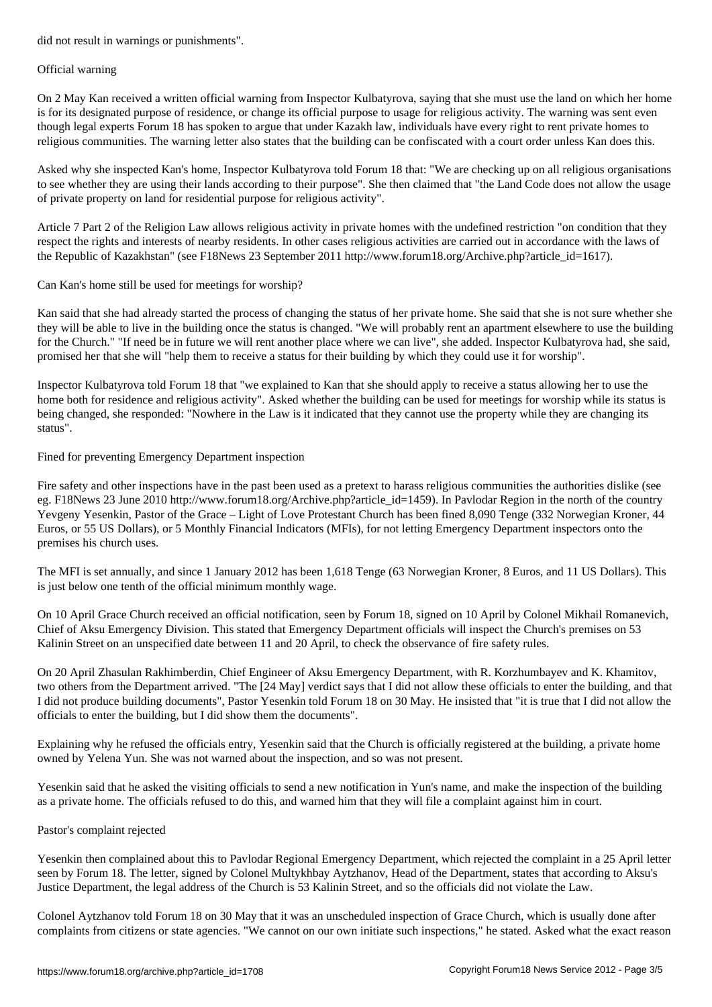#### Official warning

On 2 May Kan received a written official warning from Inspector Kulbatyrova, saying that she must use the land on which her home is for its designated purpose of residence, or change its official purpose to usage for religious activity. The warning was sent even though legal experts Forum 18 has spoken to argue that under Kazakh law, individuals have every right to rent private homes to religious communities. The warning letter also states that the building can be confiscated with a court order unless Kan does this.

Asked why she inspected Kan's home, Inspector Kulbatyrova told Forum 18 that: "We are checking up on all religious organisations to see whether they are using their lands according to their purpose". She then claimed that "the Land Code does not allow the usage of private property on land for residential purpose for religious activity".

Article 7 Part 2 of the Religion Law allows religious activity in private homes with the undefined restriction "on condition that they respect the rights and interests of nearby residents. In other cases religious activities are carried out in accordance with the laws of the Republic of Kazakhstan" (see F18News 23 September 2011 http://www.forum18.org/Archive.php?article\_id=1617).

Can Kan's home still be used for meetings for worship?

Kan said that she had already started the process of changing the status of her private home. She said that she is not sure whether she they will be able to live in the building once the status is changed. "We will probably rent an apartment elsewhere to use the building for the Church." "If need be in future we will rent another place where we can live", she added. Inspector Kulbatyrova had, she said, promised her that she will "help them to receive a status for their building by which they could use it for worship".

Inspector Kulbatyrova told Forum 18 that "we explained to Kan that she should apply to receive a status allowing her to use the home both for residence and religious activity". Asked whether the building can be used for meetings for worship while its status is being changed, she responded: "Nowhere in the Law is it indicated that they cannot use the property while they are changing its status".

Fined for preventing Emergency Department inspection

Fire safety and other inspections have in the past been used as a pretext to harass religious communities the authorities dislike (see eg. F18News 23 June 2010 http://www.forum18.org/Archive.php?article\_id=1459). In Pavlodar Region in the north of the country Yevgeny Yesenkin, Pastor of the Grace – Light of Love Protestant Church has been fined 8,090 Tenge (332 Norwegian Kroner, 44 Euros, or 55 US Dollars), or 5 Monthly Financial Indicators (MFIs), for not letting Emergency Department inspectors onto the premises his church uses.

The MFI is set annually, and since 1 January 2012 has been 1,618 Tenge (63 Norwegian Kroner, 8 Euros, and 11 US Dollars). This is just below one tenth of the official minimum monthly wage.

On 10 April Grace Church received an official notification, seen by Forum 18, signed on 10 April by Colonel Mikhail Romanevich, Chief of Aksu Emergency Division. This stated that Emergency Department officials will inspect the Church's premises on 53 Kalinin Street on an unspecified date between 11 and 20 April, to check the observance of fire safety rules.

On 20 April Zhasulan Rakhimberdin, Chief Engineer of Aksu Emergency Department, with R. Korzhumbayev and K. Khamitov, two others from the Department arrived. "The [24 May] verdict says that I did not allow these officials to enter the building, and that I did not produce building documents", Pastor Yesenkin told Forum 18 on 30 May. He insisted that "it is true that I did not allow the officials to enter the building, but I did show them the documents".

Explaining why he refused the officials entry, Yesenkin said that the Church is officially registered at the building, a private home owned by Yelena Yun. She was not warned about the inspection, and so was not present.

Yesenkin said that he asked the visiting officials to send a new notification in Yun's name, and make the inspection of the building as a private home. The officials refused to do this, and warned him that they will file a complaint against him in court.

### Pastor's complaint rejected

Yesenkin then complained about this to Pavlodar Regional Emergency Department, which rejected the complaint in a 25 April letter seen by Forum 18. The letter, signed by Colonel Multykhbay Aytzhanov, Head of the Department, states that according to Aksu's Justice Department, the legal address of the Church is 53 Kalinin Street, and so the officials did not violate the Law.

Colonel Aytzhanov told Forum 18 on 30 May that it was an unscheduled inspection of Grace Church, which is usually done after complaints from citizens or state agencies. "We cannot on our own initiate such inspections," he stated. Asked what the exact reason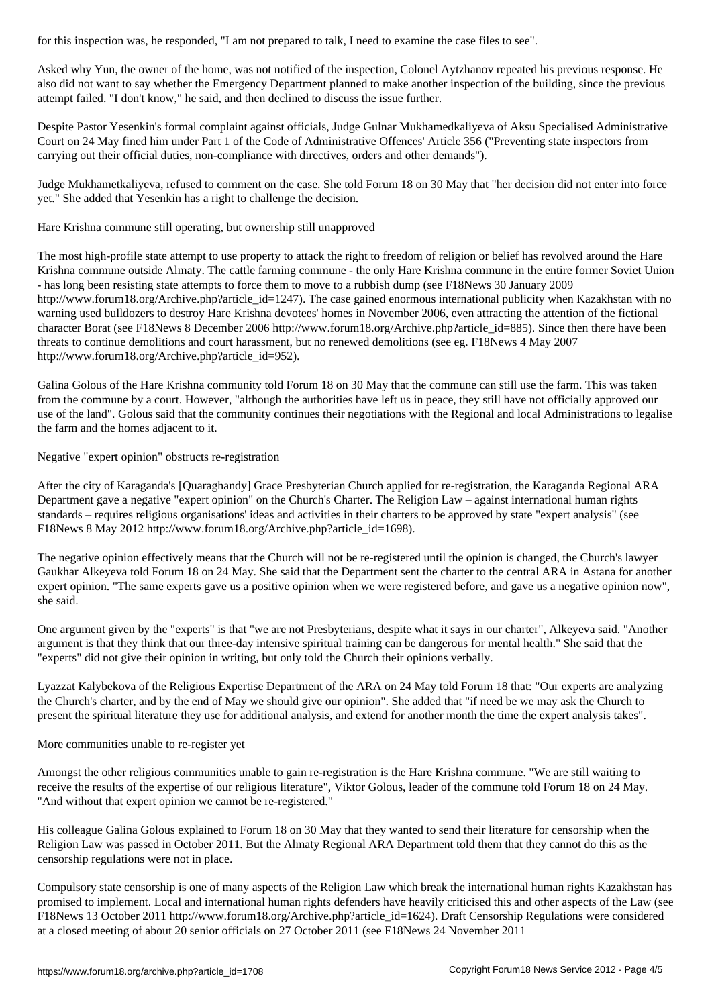Asked why Yun, the owner of the home, was not notified of the inspection, Colonel Aytzhanov repeated his previous response. He also did not want to say whether the Emergency Department planned to make another inspection of the building, since the previous attempt failed. "I don't know," he said, and then declined to discuss the issue further.

Despite Pastor Yesenkin's formal complaint against officials, Judge Gulnar Mukhamedkaliyeva of Aksu Specialised Administrative Court on 24 May fined him under Part 1 of the Code of Administrative Offences' Article 356 ("Preventing state inspectors from carrying out their official duties, non-compliance with directives, orders and other demands").

Judge Mukhametkaliyeva, refused to comment on the case. She told Forum 18 on 30 May that "her decision did not enter into force yet." She added that Yesenkin has a right to challenge the decision.

Hare Krishna commune still operating, but ownership still unapproved

The most high-profile state attempt to use property to attack the right to freedom of religion or belief has revolved around the Hare Krishna commune outside Almaty. The cattle farming commune - the only Hare Krishna commune in the entire former Soviet Union - has long been resisting state attempts to force them to move to a rubbish dump (see F18News 30 January 2009 http://www.forum18.org/Archive.php?article\_id=1247). The case gained enormous international publicity when Kazakhstan with no warning used bulldozers to destroy Hare Krishna devotees' homes in November 2006, even attracting the attention of the fictional character Borat (see F18News 8 December 2006 http://www.forum18.org/Archive.php?article\_id=885). Since then there have been threats to continue demolitions and court harassment, but no renewed demolitions (see eg. F18News 4 May 2007 http://www.forum18.org/Archive.php?article\_id=952).

Galina Golous of the Hare Krishna community told Forum 18 on 30 May that the commune can still use the farm. This was taken from the commune by a court. However, "although the authorities have left us in peace, they still have not officially approved our use of the land". Golous said that the community continues their negotiations with the Regional and local Administrations to legalise the farm and the homes adjacent to it.

Negative "expert opinion" obstructs re-registration

After the city of Karaganda's [Quaraghandy] Grace Presbyterian Church applied for re-registration, the Karaganda Regional ARA Department gave a negative "expert opinion" on the Church's Charter. The Religion Law – against international human rights standards – requires religious organisations' ideas and activities in their charters to be approved by state "expert analysis" (see F18News 8 May 2012 http://www.forum18.org/Archive.php?article\_id=1698).

The negative opinion effectively means that the Church will not be re-registered until the opinion is changed, the Church's lawyer Gaukhar Alkeyeva told Forum 18 on 24 May. She said that the Department sent the charter to the central ARA in Astana for another expert opinion. "The same experts gave us a positive opinion when we were registered before, and gave us a negative opinion now", she said.

One argument given by the "experts" is that "we are not Presbyterians, despite what it says in our charter", Alkeyeva said. "Another argument is that they think that our three-day intensive spiritual training can be dangerous for mental health." She said that the "experts" did not give their opinion in writing, but only told the Church their opinions verbally.

Lyazzat Kalybekova of the Religious Expertise Department of the ARA on 24 May told Forum 18 that: "Our experts are analyzing the Church's charter, and by the end of May we should give our opinion". She added that "if need be we may ask the Church to present the spiritual literature they use for additional analysis, and extend for another month the time the expert analysis takes".

More communities unable to re-register yet

Amongst the other religious communities unable to gain re-registration is the Hare Krishna commune. "We are still waiting to receive the results of the expertise of our religious literature", Viktor Golous, leader of the commune told Forum 18 on 24 May. "And without that expert opinion we cannot be re-registered."

His colleague Galina Golous explained to Forum 18 on 30 May that they wanted to send their literature for censorship when the Religion Law was passed in October 2011. But the Almaty Regional ARA Department told them that they cannot do this as the censorship regulations were not in place.

Compulsory state censorship is one of many aspects of the Religion Law which break the international human rights Kazakhstan has promised to implement. Local and international human rights defenders have heavily criticised this and other aspects of the Law (see F18News 13 October 2011 http://www.forum18.org/Archive.php?article\_id=1624). Draft Censorship Regulations were considered at a closed meeting of about 20 senior officials on 27 October 2011 (see F18News 24 November 2011